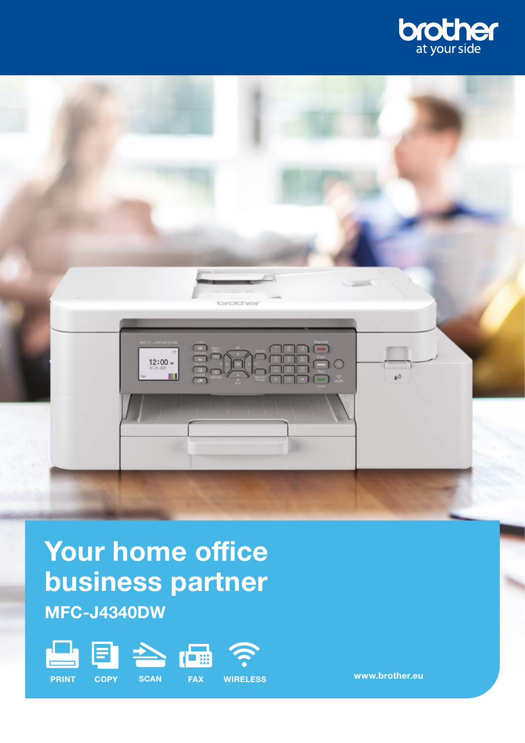



# Your home office business partner MFC-J4340DW







www.brother.eu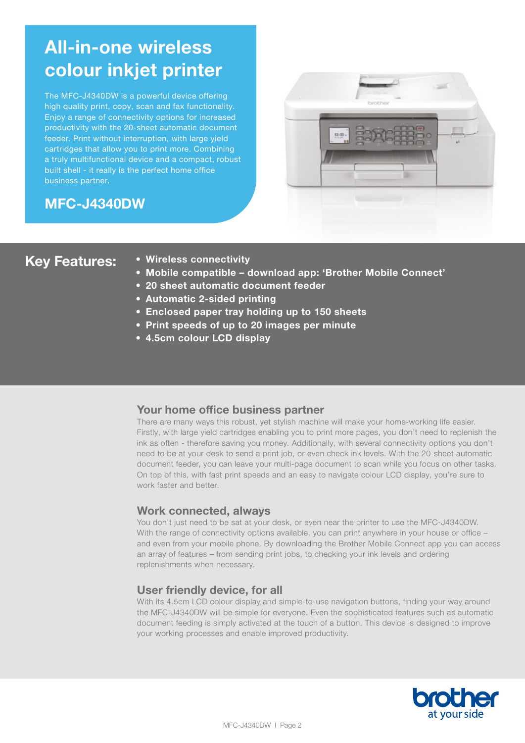## All-in-one wireless colour inkjet printer

The MFC-J4340DW is a powerful device offering high quality print, copy, scan and fax functionality. Enjoy a range of connectivity options for increased productivity with the 20-sheet automatic document feeder. Print without interruption, with large yield cartridges that allow you to print more. Combining a truly multifunctional device and a compact, robust built shell - it really is the perfect home office business partner.

## MFC-J4340DW



- Key Features: Wireless connectivity
	- Mobile compatible download app: 'Brother Mobile Connect'
	- 20 sheet automatic document feeder
	- Automatic 2-sided printing
	- Enclosed paper tray holding up to 150 sheets
	- Print speeds of up to 20 images per minute
	- 4.5cm colour LCD display

### Your home office business partner

There are many ways this robust, yet stylish machine will make your home-working life easier. Firstly, with large yield cartridges enabling you to print more pages, you don't need to replenish the ink as often - therefore saving you money. Additionally, with several connectivity options you don't need to be at your desk to send a print job, or even check ink levels. With the 20-sheet automatic document feeder, you can leave your multi-page document to scan while you focus on other tasks. On top of this, with fast print speeds and an easy to navigate colour LCD display, you're sure to work faster and better.

### Work connected, always

You don't just need to be sat at your desk, or even near the printer to use the MFC-J4340DW. With the range of connectivity options available, you can print anywhere in your house or office – and even from your mobile phone. By downloading the Brother Mobile Connect app you can access an array of features – from sending print jobs, to checking your ink levels and ordering replenishments when necessary.

### User friendly device, for all

With its 4.5cm LCD colour display and simple-to-use navigation buttons, finding your way around the MFC-J4340DW will be simple for everyone. Even the sophisticated features such as automatic document feeding is simply activated at the touch of a button. This device is designed to improve your working processes and enable improved productivity.

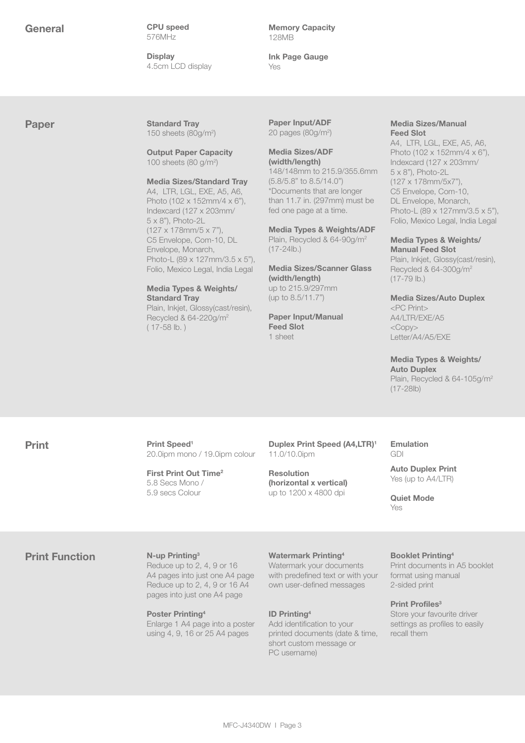General CPU speed 576MHz

> **Display** 4.5cm LCD display

150 sheets (80g/m2 )

5 x 8"), Photo-2L (127 x 178mm/5 x 7"), C5 Envelope, Com-10, DL Envelope, Monarch,

Standard Tray

( 17-58 lb. )

Output Paper Capacity 100 sheets (80 g/m2 )

Media Sizes/Standard Tray A4, LTR, LGL, EXE, A5, A6, Photo (102 x 152mm/4 x 6"), Indexcard (127 x 203mm/

Photo-L (89 x 127mm/3.5 x 5"), Folio, Mexico Legal, India Legal

Plain, Inkjet, Glossy(cast/resin), Recycled & 64-220g/m2

Media Types & Weights/

Memory Capacity 128MB

Ink Page Gauge Yes

Paper Input/ADF 20 pages (80g/m2 )

Media Sizes/ADF (width/length) 148/148mm to 215.9/355.6mm (5.8/5.8" to 8.5/14.0") \*Documents that are longer than 11.7 in. (297mm) must be fed one page at a time.

Media Types & Weights/ADF Plain, Recycled & 64-90g/m2 (17-24lb.)

Media Sizes/Scanner Glass (width/length) up to 215.9/297mm (up to 8.5/11.7")

Paper Input/Manual Feed Slot 1 sheet

Media Sizes/Manual Feed Slot

A4, LTR, LGL, EXE, A5, A6, Photo (102 x 152mm/4 x 6"), Indexcard (127 x 203mm/ 5 x 8"), Photo-2L (127 x 178mm/5x7"), C5 Envelope, Com-10, DL Envelope, Monarch, Photo-L (89 x 127mm/3.5 x 5"), Folio, Mexico Legal, India Legal

#### Media Types & Weights/ Manual Feed Slot

Plain, Inkjet, Glossy(cast/resin), Recycled & 64-300g/m2 (17-79 lb.)

Media Sizes/Auto Duplex <PC Print> A4/LTR/FXF/A5  $<$ Copy $>$ Letter/A4/A5/EXE

Media Types & Weights/ Auto Duplex

Plain, Recycled & 64-105g/m2 (17-28lb)

Print Print Speed<sup>1</sup> 20.0ipm mono / 19.0ipm colour

> First Print Out Time<sup>2</sup> 5.8 Secs Mono / 5.9 secs Colour

Duplex Print Speed (A4,LTR)<sup>1</sup> 11.0/10.0ipm

Resolution (horizontal x vertical) up to 1200 x 4800 dpi

#### Emulation GDI

Auto Duplex Print Yes (up to A4/LTR)

Quiet Mode Yes

### **Print Function** N-up Printing<sup>3</sup>

Reduce up to 2, 4, 9 or 16 A4 pages into just one A4 page Reduce up to 2, 4, 9 or 16 A4

pages into just one A4 page

Poster Printing4 Enlarge 1 A4 page into a poster using 4, 9, 16 or 25 A4 pages

Watermark Printing4

Watermark your documents with predefined text or with your own user-defined messages

#### ID Printing4

Add identification to your printed documents (date & time, short custom message or PC username)

Booklet Printing4

Print documents in A5 booklet format using manual 2-sided print

#### Print Profiles<sup>3</sup>

Store your favourite driver settings as profiles to easily recall them

#### Paper Standard Tray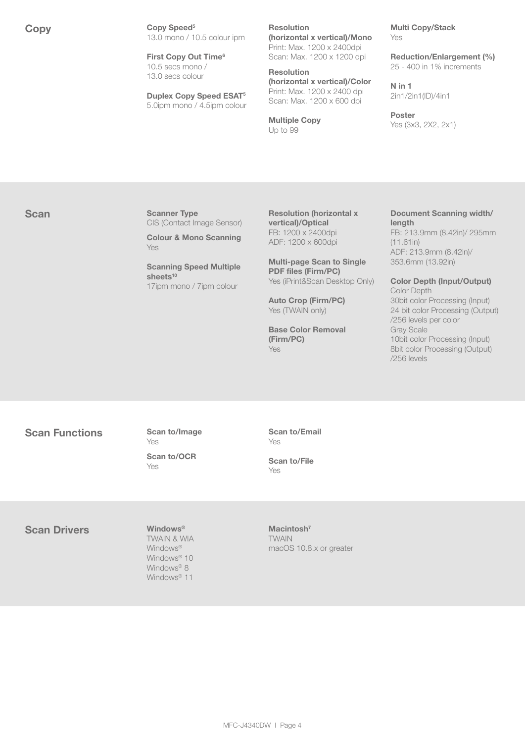Copy Copy Speed<sup>5</sup> 13.0 mono / 10.5 colour ipm

> First Copy Out Time<sup>6</sup> 10.5 secs mono / 13.0 secs colour

Duplex Copy Speed ESAT5 5.0ipm mono / 4.5ipm colour Resolution (horizontal x vertical)/Mono Print: Max. 1200 x 2400dpi Scan: Max. 1200 x 1200 dpi

Resolution (horizontal x vertical)/Color Print: Max. 1200 x 2400 dpi Scan: Max. 1200 x 600 dpi

Multiple Copy Up to 99

Multi Copy/Stack Yes

Reduction/Enlargement (%) 25 - 400 in 1% increments

N in 1 2in1/2in1(ID)/4in1

Poster Yes (3x3, 2X2, 2x1)

Scan Scanner Type CIS (Contact Image Sensor)

> Colour & Mono Scanning Yes

Scanning Speed Multiple sheets $10$ 17ipm mono / 7ipm colour

Resolution (horizontal x vertical)/Optical FB: 1200 x 2400dpi ADF: 1200 x 600dpi

Multi-page Scan to Single PDF files (Firm/PC) Yes (iPrint&Scan Desktop Only)

Auto Crop (Firm/PC) Yes (TWAIN only)

Base Color Removal (Firm/PC) Yes

#### Document Scanning width/ length

FB: 213.9mm (8.42in)/ 295mm (11.61in) ADF: 213.9mm (8.42in)/ 353.6mm (13.92in)

Color Depth (Input/Output) Color Depth 30bit color Processing (Input)

24 bit color Processing (Output) /256 levels per color Gray Scale 10bit color Processing (Input) 8bit color Processing (Output) /256 levels

#### Scan Functions Scan to/Image

Yes Scan to/OCR Yes

Scan to/Email Yes

Scan to/File Yes

Scan Drivers Windows<sup>®</sup>

TWAIN & WIA Windows® Windows<sup>®</sup> 10 Windows® 8 Windows® 11

Macintosh<sup>7</sup> **TWAIN** macOS 10.8.x or greater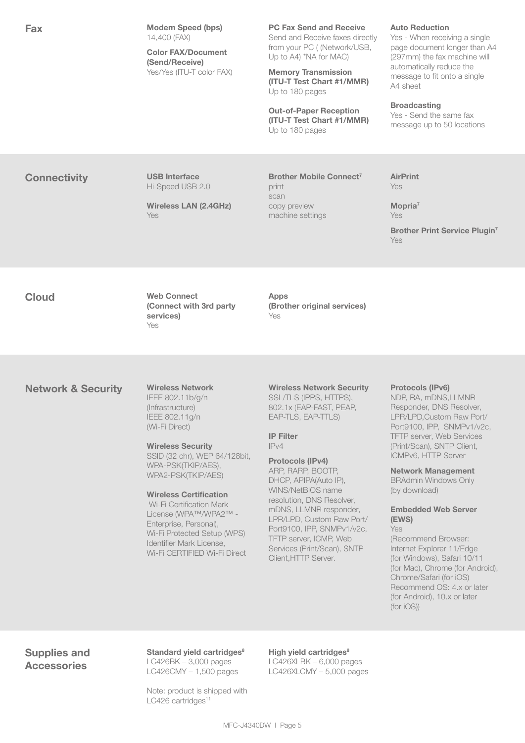Fax Modem Speed (bps) 14,400 (FAX)

> Color FAX/Document (Send/Receive) Yes/Yes (ITU-T color FAX)

PC Fax Send and Receive

Send and Receive faxes directly from your PC ( (Network/USB, Up to A4) \*NA for MAC)

Memory Transmission (ITU-T Test Chart #1/MMR) Up to 180 pages

Out-of-Paper Reception (ITU-T Test Chart #1/MMR) Up to 180 pages

Auto Reduction Yes - When receiving a single page document longer than A4 (297mm) the fax machine will automatically reduce the message to fit onto a single A4 sheet

#### **Broadcasting**

Yes - Send the same fax message up to 50 locations

#### Connectivity USB Interface

Hi-Speed USB 2.0

Wireless LAN (2.4GHz) Yes

Brother Mobile Connect<sup>7</sup> print scan copy preview machine settings

AirPrint Yes

Mopria<sup>7</sup> Yes

Brother Print Service Plugin<sup>7</sup> Yes

Cloud Web Connect (Connect with 3rd party services) Yes

Apps (Brother original services) Yes

#### Network & Security Wireless Network

IEEE 802.11b/g/n (Infrastructure) IEEE 802.11g/n (Wi-Fi Direct)

Wireless Security SSID (32 chr), WEP 64/128bit, WPA-PSK(TKIP/AES), WPA2-PSK(TKIP/AES)

#### Wireless Certification

 Wi-Fi Certification Mark License (WPA™/WPA2™ - Enterprise, Personal), Wi-Fi Protected Setup (WPS) Identifier Mark License, Wi-Fi CERTIFIED Wi-Fi Direct Wireless Network Security SSL/TLS (IPPS, HTTPS), 802.1x (EAP-FAST, PEAP, EAP-TLS, EAP-TTLS)

IP Filter IPv4

Protocols (IPv4) ARP, RARP, BOOTP, DHCP, APIPA(Auto IP), WINS/NetBIOS name resolution, DNS Resolver, mDNS, LLMNR responder, LPR/LPD, Custom Raw Port/ Port9100, IPP, SNMPv1/v2c, TFTP server, ICMP, Web Services (Print/Scan), SNTP Client,HTTP Server.

High yield cartridges<sup>8</sup> LC426XLBK – 6,000 pages LC426XLCMY – 5,000 pages

#### Protocols (IPv6)

NDP, RA, mDNS,LLMNR Responder, DNS Resolver, LPR/LPD,Custom Raw Port/ Port9100, IPP, SNMPv1/v2c, TFTP server, Web Services (Print/Scan), SNTP Client, ICMPv6, HTTP Server

Network Management

BRAdmin Windows Only (by download)

#### Embedded Web Server (EWS)

Yes (Recommend Browser: Internet Explorer 11/Edge (for Windows), Safari 10/11 (for Mac), Chrome (for Android), Chrome/Safari (for iOS) Recommend OS: 4.x or later (for Android), 10.x or later (for iOS))

### Supplies and **Accessories**

Standard yield cartridges<sup>8</sup> LC426BK – 3,000 pages LC426CMY – 1,500 pages

Note: product is shipped with LC426 cartridges<sup>11</sup>